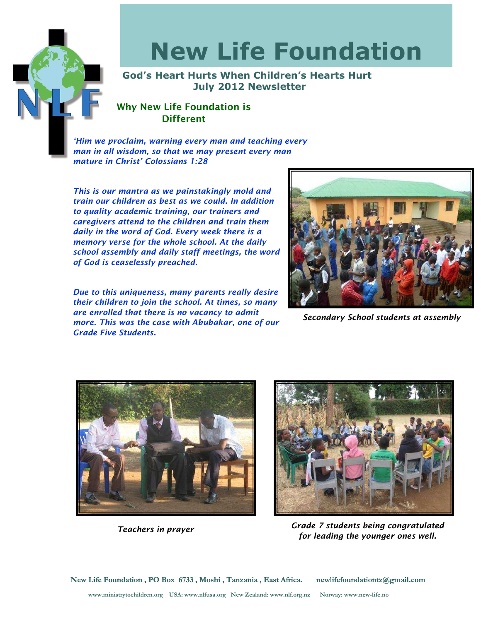

# New Life Foundation

God's Heart Hurts When Children's Hearts Hurt July 2012 Newsletter

## Why New Life Foundation is **Different**

'Him we proclaim, warning every man and teaching every man in all wisdom, so that we may present every man mature in Christ' Colossians 1:28

This is our mantra as we painstakingly mold and train our children as best as we could. In addition to quality academic training, our trainers and caregivers attend to the children and train them daily in the word of God. Every week there is a memory verse for the whole school. At the daily school assembly and daily staff meetings, the word of God is ceaselessly preached.

Due to this uniqueness, many parents really desire their children to join the school. At times, so many are enrolled that there is no vacancy to admit more. This was the case with Abubakar, one of our Grade Five Students.



Secondary School students at assembly



Teachers in prayer



Grade 7 students being congratulated for leading the younger ones well.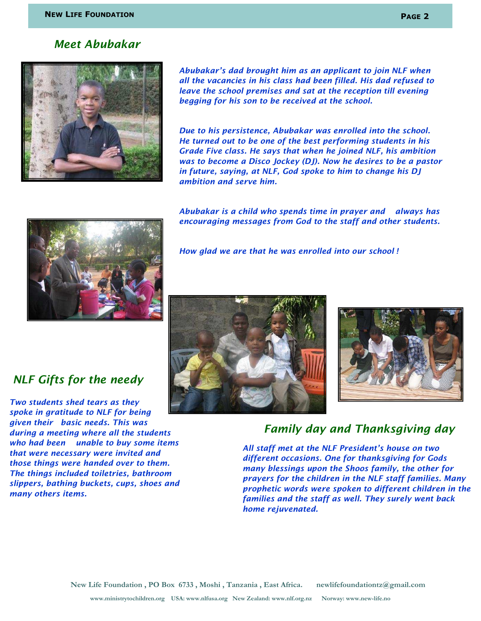### Meet Abubakar



Abubakar's dad brought him as an applicant to join NLF when all the vacancies in his class had been filled. His dad refused to leave the school premises and sat at the reception till evening begging for his son to be received at the school.

Due to his persistence, Abubakar was enrolled into the school. He turned out to be one of the best performing students in his Grade Five class. He says that when he joined NLF, his ambition was to become a Disco Jockey (DJ). Now he desires to be a pastor in future, saying, at NLF, God spoke to him to change his DJ ambition and serve him.

Abubakar is a child who spends time in prayer and always has encouraging messages from God to the staff and other students.



How glad we are that he was enrolled into our school !

## NLF Gifts for the needy

Two students shed tears as they spoke in gratitude to NLF for being given their basic needs. This was during a meeting where all the students who had been unable to buy some items that were necessary were invited and those things were handed over to them. The things included toiletries, bathroom slippers, bathing buckets, cups, shoes and many others items.





## Family day and Thanksgiving day

All staff met at the NLF President's house on two different occasions. One for thanksgiving for Gods many blessings upon the Shoos family, the other for prayers for the children in the NLF staff families. Many prophetic words were spoken to different children in the families and the staff as well. They surely went back home rejuvenated.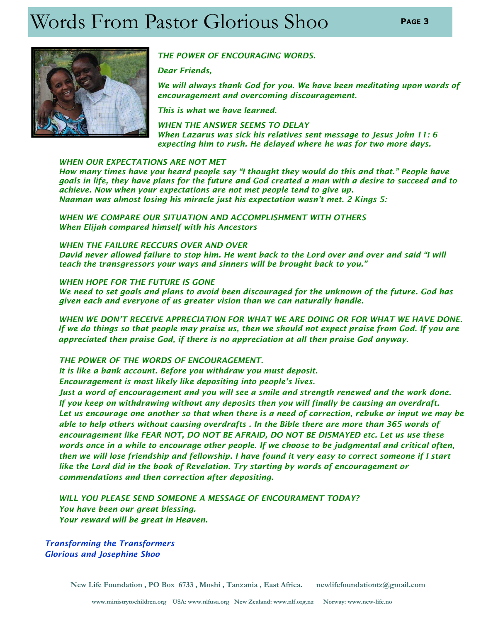## Words From Pastor Glorious Shoo PAGE3



#### THE POWER OF ENCOURAGING WORDS.

Dear Friends,

We will always thank God for you. We have been meditating upon words of encouragement and overcoming discouragement.

This is what we have learned.

WHEN THE ANSWER SEEMS TO DELAY When Lazarus was sick his relatives sent message to Jesus John 11: 6 expecting him to rush. He delayed where he was for two more days.

#### WHEN OUR EXPECTATIONS ARE NOT MET

How many times have you heard people say "I thought they would do this and that." People have goals in life, they have plans for the future and God created a man with a desire to succeed and to achieve. Now when your expectations are not met people tend to give up. Naaman was almost losing his miracle just his expectation wasn't met. 2 Kings 5:

 WHEN WE COMPARE OUR SITUATION AND ACCOMPLISHMENT WITH OTHERS When Elijah compared himself with his Ancestors

#### WHEN THE FAILURE RECCURS OVER AND OVER

David never allowed failure to stop him. He went back to the Lord over and over and said "I will teach the transgressors your ways and sinners will be brought back to you."

#### WHEN HOPE FOR THE FUTURE IS GONE

We need to set goals and plans to avoid been discouraged for the unknown of the future. God has given each and everyone of us greater vision than we can naturally handle.

 WHEN WE DON'T RECEIVE APPRECIATION FOR WHAT WE ARE DOING OR FOR WHAT WE HAVE DONE. If we do things so that people may praise us, then we should not expect praise from God. If you are appreciated then praise God, if there is no appreciation at all then praise God anyway.

#### THE POWER OF THE WORDS OF ENCOURAGEMENT.

It is like a bank account. Before you withdraw you must deposit.

Encouragement is most likely like depositing into people's lives.

 Just a word of encouragement and you will see a smile and strength renewed and the work done. If you keep on withdrawing without any deposits then you will finally be causing an overdraft. Let us encourage one another so that when there is a need of correction, rebuke or input we may be able to help others without causing overdrafts . In the Bible there are more than 365 words of encouragement like FEAR NOT, DO NOT BE AFRAID, DO NOT BE DISMAYED etc. Let us use these words once in a while to encourage other people. If we choose to be judgmental and critical often, then we will lose friendship and fellowship. I have found it very easy to correct someone if I start like the Lord did in the book of Revelation. Try starting by words of encouragement or commendations and then correction after depositing.

 WILL YOU PLEASE SEND SOMEONE A MESSAGE OF ENCOURAMENT TODAY? You have been our great blessing. Your reward will be great in Heaven.

Transforming the Transformers Glorious and Josephine Shoo

New Life Foundation , PO Box 6733 , Moshi , Tanzania , East Africa. newlifefoundationtz@gmail.com